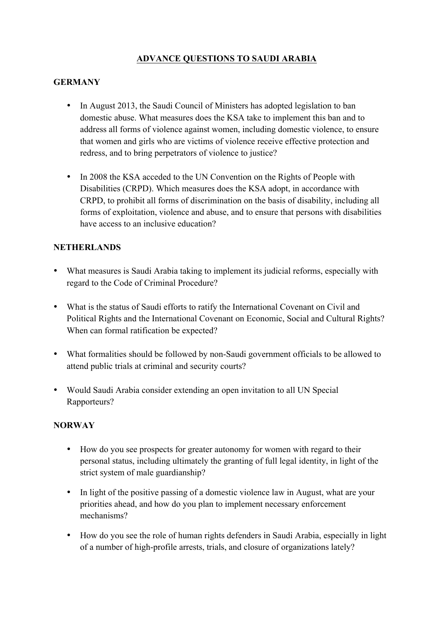# **ADVANCE QUESTIONS TO SAUDI ARABIA**

#### **GERMANY**

- In August 2013, the Saudi Council of Ministers has adopted legislation to ban domestic abuse. What measures does the KSA take to implement this ban and to address all forms of violence against women, including domestic violence, to ensure that women and girls who are victims of violence receive effective protection and redress, and to bring perpetrators of violence to justice?
- In 2008 the KSA acceded to the UN Convention on the Rights of People with Disabilities (CRPD). Which measures does the KSA adopt, in accordance with CRPD, to prohibit all forms of discrimination on the basis of disability, including all forms of exploitation, violence and abuse, and to ensure that persons with disabilities have access to an inclusive education?

### **NETHERLANDS**

- What measures is Saudi Arabia taking to implement its judicial reforms, especially with regard to the Code of Criminal Procedure?
- What is the status of Saudi efforts to ratify the International Covenant on Civil and Political Rights and the International Covenant on Economic, Social and Cultural Rights? When can formal ratification be expected?
- What formalities should be followed by non-Saudi government officials to be allowed to attend public trials at criminal and security courts?
- Would Saudi Arabia consider extending an open invitation to all UN Special Rapporteurs?

### **NORWAY**

- How do you see prospects for greater autonomy for women with regard to their personal status, including ultimately the granting of full legal identity, in light of the strict system of male guardianship?
- In light of the positive passing of a domestic violence law in August, what are your priorities ahead, and how do you plan to implement necessary enforcement mechanisms?
- How do you see the role of human rights defenders in Saudi Arabia, especially in light of a number of high-profile arrests, trials, and closure of organizations lately?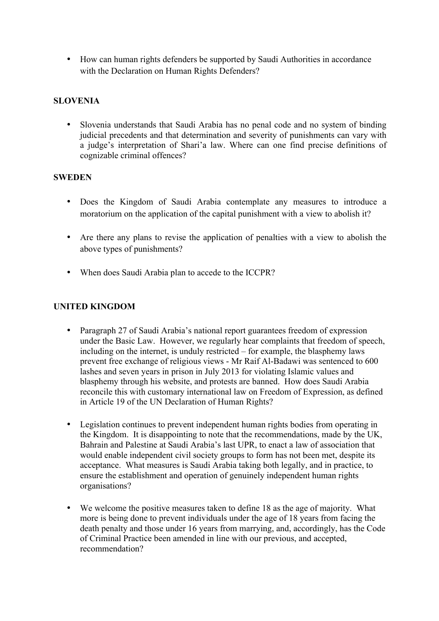• How can human rights defenders be supported by Saudi Authorities in accordance with the Declaration on Human Rights Defenders?

## **SLOVENIA**

• Slovenia understands that Saudi Arabia has no penal code and no system of binding judicial precedents and that determination and severity of punishments can vary with a judge's interpretation of Shari'a law. Where can one find precise definitions of cognizable criminal offences?

### **SWEDEN**

- Does the Kingdom of Saudi Arabia contemplate any measures to introduce a moratorium on the application of the capital punishment with a view to abolish it?
- Are there any plans to revise the application of penalties with a view to abolish the above types of punishments?
- When does Saudi Arabia plan to accede to the ICCPR?

### **UNITED KINGDOM**

- Paragraph 27 of Saudi Arabia's national report guarantees freedom of expression under the Basic Law. However, we regularly hear complaints that freedom of speech, including on the internet, is unduly restricted – for example, the blasphemy laws prevent free exchange of religious views - Mr Raif Al-Badawi was sentenced to 600 lashes and seven years in prison in July 2013 for violating Islamic values and blasphemy through his website, and protests are banned. How does Saudi Arabia reconcile this with customary international law on Freedom of Expression, as defined in Article 19 of the UN Declaration of Human Rights?
- Legislation continues to prevent independent human rights bodies from operating in the Kingdom. It is disappointing to note that the recommendations, made by the UK, Bahrain and Palestine at Saudi Arabia's last UPR, to enact a law of association that would enable independent civil society groups to form has not been met, despite its acceptance. What measures is Saudi Arabia taking both legally, and in practice, to ensure the establishment and operation of genuinely independent human rights organisations?
- We welcome the positive measures taken to define 18 as the age of majority. What more is being done to prevent individuals under the age of 18 years from facing the death penalty and those under 16 years from marrying, and, accordingly, has the Code of Criminal Practice been amended in line with our previous, and accepted, recommendation?